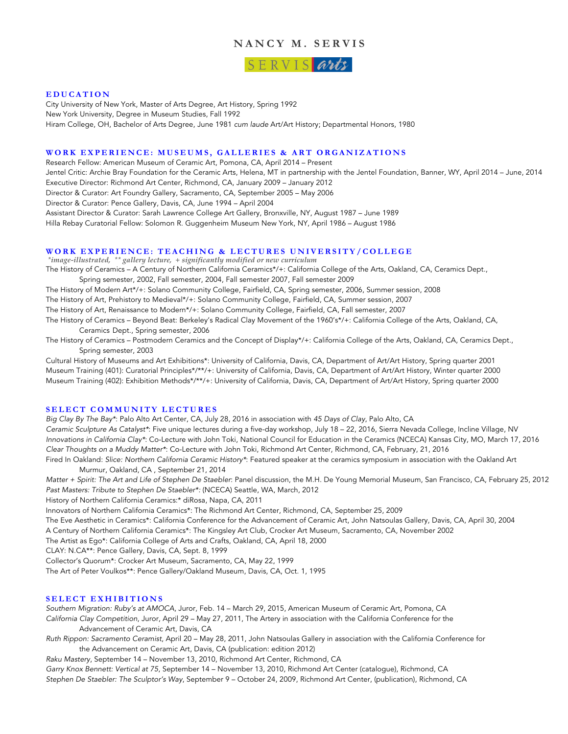# **NANCY M. SERVIS**

SERVIS arts

#### **EDUCATION**

City University of New York, Master of Arts Degree, Art History, Spring 1992 New York University, Degree in Museum Studies, Fall 1992 Hiram College, OH, Bachelor of Arts Degree, June 1981 *cum laude* Art/Art History; Departmental Honors, 1980

## **WORK EXPERIENCE: MUSEUMS , GALLERIES & ART ORGANIZATIONS**

Research Fellow: American Museum of Ceramic Art, Pomona, CA, April 2014 – Present

Jentel Critic: Archie Bray Foundation for the Ceramic Arts, Helena, MT in partnership with the Jentel Foundation, Banner, WY, April 2014 – June, 2014 Executive Director: Richmond Art Center, Richmond, CA, January 2009 – January 2012 Director & Curator: Art Foundry Gallery, Sacramento, CA, September 2005 – May 2006 Director & Curator: Pence Gallery, Davis, CA, June 1994 – April 2004 Assistant Director & Curator: Sarah Lawrence College Art Gallery, Bronxville, NY, August 1987 – June 1989

Hilla Rebay Curatorial Fellow: Solomon R. Guggenheim Museum New York, NY, April 1986 – August 1986

## **WORK EXPERIENCE: TEACHING & LECTURES UNIVERSITY/COLLEGE**

*\*image-illustrated, \*\* gallery lecture, + significantly modified or new curriculum* The History of Ceramics – A Century of Northern California Ceramics\*/+: California College of the Arts, Oakland, CA, Ceramics Dept.,

Spring semester, 2002, Fall semester, 2004, Fall semester 2007, Fall semester 2009

The History of Modern Art\*/+: Solano Community College, Fairfield, CA, Spring semester, 2006, Summer session, 2008

The History of Art, Prehistory to Medieval\*/+: Solano Community College, Fairfield, CA, Summer session, 2007

The History of Art, Renaissance to Modern\*/+: Solano Community College, Fairfield, CA, Fall semester, 2007

The History of Ceramics – Beyond Beat: Berkeley's Radical Clay Movement of the 1960's\*/+: California College of the Arts, Oakland, CA, Ceramics Dept., Spring semester, 2006

The History of Ceramics – Postmodern Ceramics and the Concept of Display\*/+: California College of the Arts, Oakland, CA, Ceramics Dept., Spring semester, 2003

Cultural History of Museums and Art Exhibitions\*: University of California, Davis, CA, Department of Art/Art History, Spring quarter 2001 Museum Training (401): Curatorial Principles\*/\*\*/+: University of California, Davis, CA, Department of Art/Art History, Winter quarter 2000 Museum Training (402): Exhibition Methods\*/\*\*/+: University of California, Davis, CA, Department of Art/Art History, Spring quarter 2000

## **SELECT COMMUNITY LECTURES**

*Big Clay By The Bay\**: Palo Alto Art Center, CA, July 28, 2016 in association with *45 Days of Clay*, Palo Alto, CA *Ceramic Sculpture As Catalyst\**: Five unique lectures during a five-day workshop, July 18 – 22, 2016, Sierra Nevada College, Incline Village, NV *Innovations in California Clay\**: Co-Lecture with John Toki, National Council for Education in the Ceramics (NCECA) Kansas City, MO, March 17, 2016 *Clear Thoughts on a Muddy Matter\**: Co-Lecture with John Toki, Richmond Art Center, Richmond, CA, February, 21, 2016

Fired In Oakland: *Slice: Northern California Ceramic History\**: Featured speaker at the ceramics symposium in association with the Oakland Art Murmur, Oakland, CA , September 21, 2014

*Matter + Spirit: The Art and Life of Stephen De Staebler*: Panel discussion, the M.H. De Young Memorial Museum, San Francisco, CA, February 25, 2012 *Past Masters: Tribute to Stephen De Staebler\*:* (NCECA) Seattle, WA, March, 2012

History of Northern California Ceramics:\* diRosa, Napa, CA, 2011

Innovators of Northern California Ceramics\*: The Richmond Art Center, Richmond, CA, September 25, 2009

The Eve Aesthetic in Ceramics\*: California Conference for the Advancement of Ceramic Art, John Natsoulas Gallery, Davis, CA, April 30, 2004

A Century of Northern California Ceramics\*: The Kingsley Art Club, Crocker Art Museum, Sacramento, CA, November 2002

The Artist as Ego\*: California College of Arts and Crafts, Oakland, CA, April 18, 2000

CLAY: N.CA\*\*: Pence Gallery, Davis, CA, Sept. 8, 1999

Collector's Quorum\*: Crocker Art Museum, Sacramento, CA, May 22, 1999

The Art of Peter Voulkos\*\*: Pence Gallery/Oakland Museum, Davis, CA, Oct. 1, 1995

### **SELECT EXHIBITIONS**

*Southern Migration: Ruby's at AMOCA*, Juror, Feb. 14 – March 29, 2015, American Museum of Ceramic Art, Pomona, CA *California Clay Competition*, Juror, April 29 – May 27, 2011, The Artery in association with the California Conference for the

Advancement of Ceramic Art, Davis, CA

*Ruth Rippon: Sacramento Ceramist*, April 20 – May 28, 2011, John Natsoulas Gallery in association with the California Conference for the Advancement on Ceramic Art, Davis, CA (publication: edition 2012)

*Raku Mastery*, September 14 – November 13, 2010, Richmond Art Center, Richmond, CA

*Garry Knox Bennett: Vertical at 75*, September 14 – November 13, 2010, Richmond Art Center (catalogue), Richmond, CA *Stephen De Staebler: The Sculptor's Way*, September 9 – October 24, 2009, Richmond Art Center, (publication), Richmond, CA